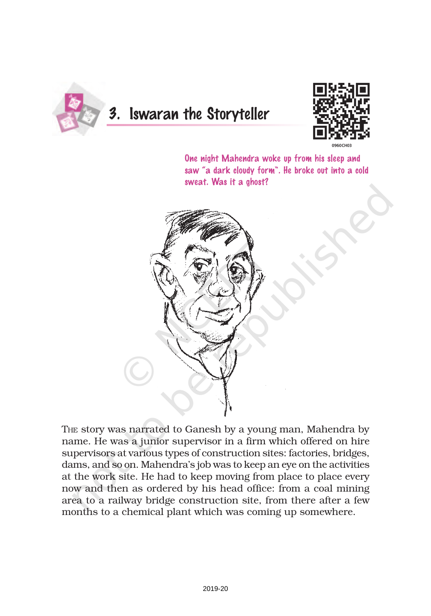

## Iswaran the Storyteller



One night Mahendra woke up from his sleep and saw "a dark cloudy form". He broke out into a cold sweat. Was it a ghost?



THE story was narrated to Ganesh by a young man, Mahendra by name. He was a junior supervisor in a firm which offered on hire supervisors at various types of construction sites: factories, bridges, dams, and so on. Mahendra's job was to keep an eye on the activities at the work site. He had to keep moving from place to place every now and then as ordered by his head office: from a coal mining area to a railway bridge construction site, from there after a few months to a chemical plant which was coming up somewhere.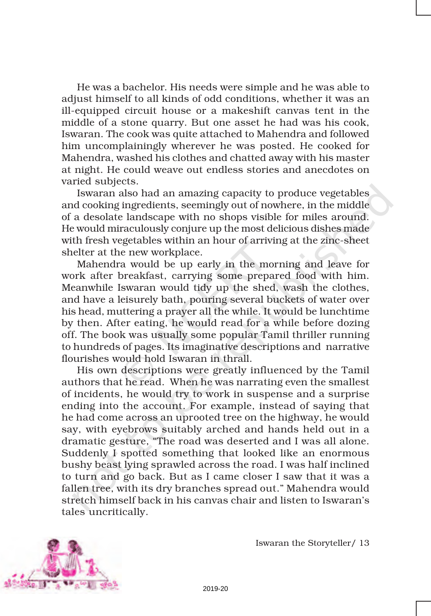He was a bachelor. His needs were simple and he was able to adjust himself to all kinds of odd conditions, whether it was an ill-equipped circuit house or a makeshift canvas tent in the middle of a stone quarry. But one asset he had was his cook, Iswaran. The cook was quite attached to Mahendra and followed him uncomplainingly wherever he was posted. He cooked for Mahendra, washed his clothes and chatted away with his master at night. He could weave out endless stories and anecdotes on varied subjects.

Iswaran also had an amazing capacity to produce vegetables and cooking ingredients, seemingly out of nowhere, in the middle of a desolate landscape with no shops visible for miles around. He would miraculously conjure up the most delicious dishes made with fresh vegetables within an hour of arriving at the zinc-sheet shelter at the new workplace.

Mahendra would be up early in the morning and leave for work after breakfast, carrying some prepared food with him. Meanwhile Iswaran would tidy up the shed, wash the clothes, and have a leisurely bath, pouring several buckets of water over his head, muttering a prayer all the while. It would be lunchtime by then. After eating, he would read for a while before dozing off. The book was usually some popular Tamil thriller running to hundreds of pages. Its imaginative descriptions and narrative flourishes would hold Iswaran in thrall.

His own descriptions were greatly influenced by the Tamil authors that he read. When he was narrating even the smallest of incidents, he would try to work in suspense and a surprise ending into the account. For example, instead of saying that he had come across an uprooted tree on the highway, he would say, with eyebrows suitably arched and hands held out in a dramatic gesture, "The road was deserted and I was all alone. Suddenly I spotted something that looked like an enormous bushy beast lying sprawled across the road. I was half inclined to turn and go back. But as I came closer I saw that it was a fallen tree, with its dry branches spread out." Mahendra would stretch himself back in his canvas chair and listen to Iswaran's tales uncritically.



Iswaran the Storyteller/ 13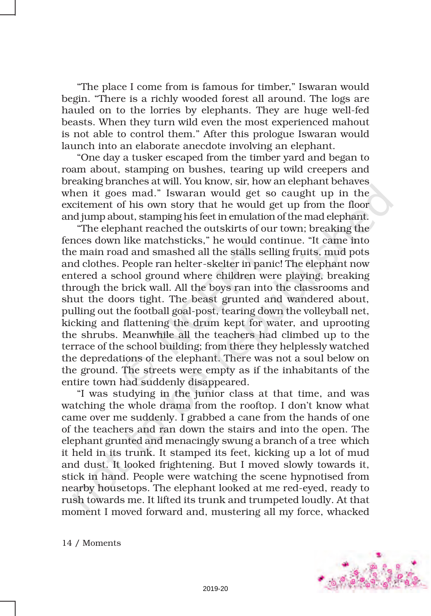"The place I come from is famous for timber," Iswaran would begin. "There is a richly wooded forest all around. The logs are hauled on to the lorries by elephants. They are huge well-fed beasts. When they turn wild even the most experienced mahout is not able to control them." After this prologue Iswaran would launch into an elaborate anecdote involving an elephant.

"One day a tusker escaped from the timber yard and began to roam about, stamping on bushes, tearing up wild creepers and breaking branches at will. You know, sir, how an elephant behaves when it goes mad." Iswaran would get so caught up in the excitement of his own story that he would get up from the floor and jump about, stamping his feet in emulation of the mad elephant.

"The elephant reached the outskirts of our town; breaking the fences down like matchsticks," he would continue. "It came into the main road and smashed all the stalls selling fruits, mud pots and clothes. People ran helter-skelter in panic! The elephant now entered a school ground where children were playing, breaking through the brick wall. All the boys ran into the classrooms and shut the doors tight. The beast grunted and wandered about, pulling out the football goal-post, tearing down the volleyball net, kicking and flattening the drum kept for water, and uprooting the shrubs. Meanwhile all the teachers had climbed up to the terrace of the school building; from there they helplessly watched the depredations of the elephant. There was not a soul below on the ground. The streets were empty as if the inhabitants of the entire town had suddenly disappeared.

"I was studying in the junior class at that time, and was watching the whole drama from the rooftop. I don't know what came over me suddenly. I grabbed a cane from the hands of one of the teachers and ran down the stairs and into the open. The elephant grunted and menacingly swung a branch of a tree which it held in its trunk. It stamped its feet, kicking up a lot of mud and dust. It looked frightening. But I moved slowly towards it, stick in hand. People were watching the scene hypnotised from nearby housetops. The elephant looked at me red-eyed, ready to rush towards me. It lifted its trunk and trumpeted loudly. At that moment I moved forward and, mustering all my force, whacked

14 / Moments

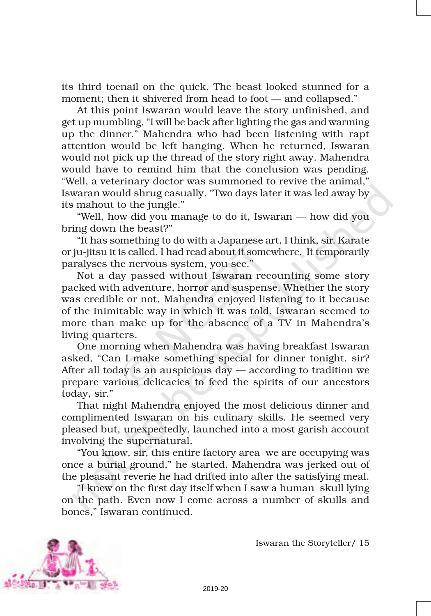its third toenail on the quick. The beast looked stunned for a moment; then it shivered from head to foot — and collapsed."

At this point Iswaran would leave the story unfinished, and get up mumbling, "I will be back after lighting the gas and warming up the dinner." Mahendra who had been listening with rapt attention would be left hanging. When he returned, Iswaran would not pick up the thread of the story right away. Mahendra would have to remind him that the conclusion was pending. "Well, a veterinary doctor was summoned to revive the animal," Iswaran would shrug casually. "Two days later it was led away by its mahout to the jungle."

"Well, how did you manage to do it, Iswaran — how did you bring down the beast?"

"It has something to do with a Japanese art, I think, sir. Karate or ju-jitsu it is called. I had read about it somewhere. It temporarily paralyses the nervous system, you see."

Not a day passed without Iswaran recounting some story packed with adventure, horror and suspense. Whether the story was credible or not, Mahendra enjoyed listening to it because of the inimitable way in which it was told. Iswaran seemed to more than make up for the absence of a TV in Mahendra's living quarters.

One morning when Mahendra was having breakfast Iswaran asked, "Can I make something special for dinner tonight, sir? After all today is an auspicious day — according to tradition we prepare various delicacies to feed the spirits of our ancestors today, sir."

That night Mahendra enjoyed the most delicious dinner and complimented Iswaran on his culinary skills. He seemed very pleased but, unexpectedly, launched into a most garish account involving the supernatural.

"You know, sir, this entire factory area we are occupying was once a burial ground," he started. Mahendra was jerked out of the pleasant reverie he had drifted into after the satisfying meal.

"I knew on the first day itself when I saw a human skull lying on the path. Even now I come across a number of skulls and bones," Iswaran continued.



Iswaran the Storyteller/ 15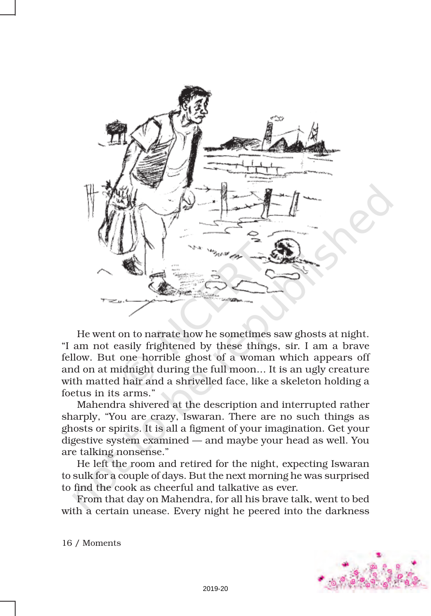

He went on to narrate how he sometimes saw ghosts at night. "I am not easily frightened by these things, sir. I am a brave fellow. But one horrible ghost of a woman which appears off and on at midnight during the full moon... It is an ugly creature with matted hair and a shrivelled face, like a skeleton holding a foetus in its arms."

Mahendra shivered at the description and interrupted rather sharply, "You are crazy, Iswaran. There are no such things as ghosts or spirits. It is all a figment of your imagination. Get your digestive system examined — and maybe your head as well. You are talking nonsense."

He left the room and retired for the night, expecting Iswaran to sulk for a couple of days. But the next morning he was surprised to find the cook as cheerful and talkative as ever.

From that day on Mahendra, for all his brave talk, went to bed with a certain unease. Every night he peered into the darkness



16 / Moments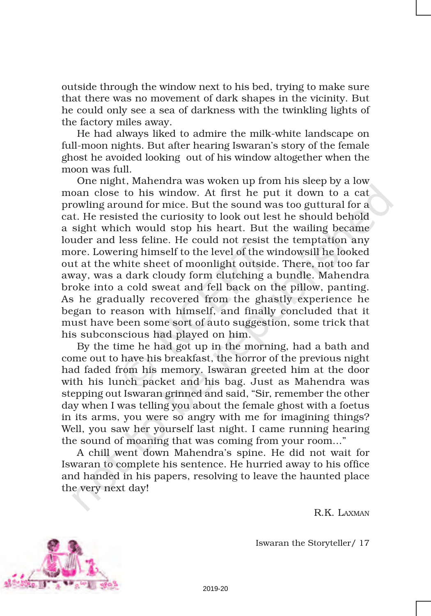outside through the window next to his bed, trying to make sure that there was no movement of dark shapes in the vicinity. But he could only see a sea of darkness with the twinkling lights of the factory miles away.

He had always liked to admire the milk-white landscape on full-moon nights. But after hearing Iswaran's story of the female ghost he avoided looking out of his window altogether when the moon was full.

One night, Mahendra was woken up from his sleep by a low moan close to his window. At first he put it down to a cat prowling around for mice. But the sound was too guttural for a cat. He resisted the curiosity to look out lest he should behold a sight which would stop his heart. But the wailing became louder and less feline. He could not resist the temptation any more. Lowering himself to the level of the windowsill he looked out at the white sheet of moonlight outside. There, not too far away, was a dark cloudy form clutching a bundle. Mahendra broke into a cold sweat and fell back on the pillow, panting. As he gradually recovered from the ghastly experience he began to reason with himself, and finally concluded that it must have been some sort of auto suggestion, some trick that his subconscious had played on him.

By the time he had got up in the morning, had a bath and come out to have his breakfast, the horror of the previous night had faded from his memory. Iswaran greeted him at the door with his lunch packet and his bag. Just as Mahendra was stepping out Iswaran grinned and said, "Sir, remember the other day when I was telling you about the female ghost with a foetus in its arms, you were so angry with me for imagining things? Well, you saw her yourself last night. I came running hearing the sound of moaning that was coming from your room..."

A chill went down Mahendra's spine. He did not wait for Iswaran to complete his sentence. He hurried away to his office and handed in his papers, resolving to leave the haunted place the very next day!

R.K. LAXMAN

Iswaran the Storyteller/ 17